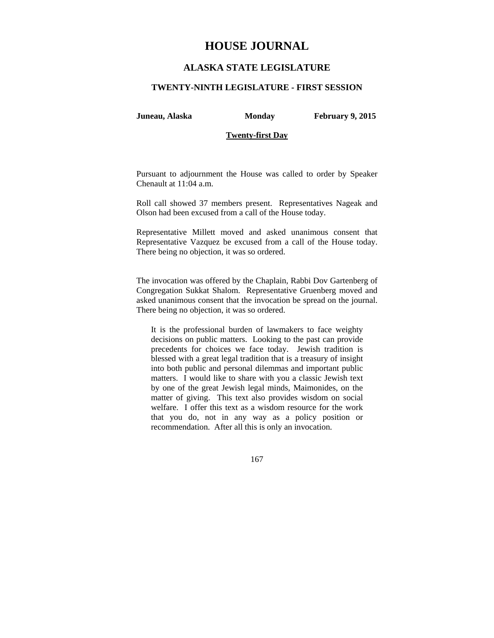# **HOUSE JOURNAL**

# **ALASKA STATE LEGISLATURE**

### **TWENTY-NINTH LEGISLATURE - FIRST SESSION**

**Juneau, Alaska Monday February 9, 2015** 

### **Twenty-first Day**

Pursuant to adjournment the House was called to order by Speaker Chenault at 11:04 a.m.

Roll call showed 37 members present. Representatives Nageak and Olson had been excused from a call of the House today.

Representative Millett moved and asked unanimous consent that Representative Vazquez be excused from a call of the House today. There being no objection, it was so ordered.

The invocation was offered by the Chaplain, Rabbi Dov Gartenberg of Congregation Sukkat Shalom. Representative Gruenberg moved and asked unanimous consent that the invocation be spread on the journal. There being no objection, it was so ordered.

It is the professional burden of lawmakers to face weighty decisions on public matters. Looking to the past can provide precedents for choices we face today. Jewish tradition is blessed with a great legal tradition that is a treasury of insight into both public and personal dilemmas and important public matters. I would like to share with you a classic Jewish text by one of the great Jewish legal minds, Maimonides, on the matter of giving. This text also provides wisdom on social welfare. I offer this text as a wisdom resource for the work that you do, not in any way as a policy position or recommendation. After all this is only an invocation.

167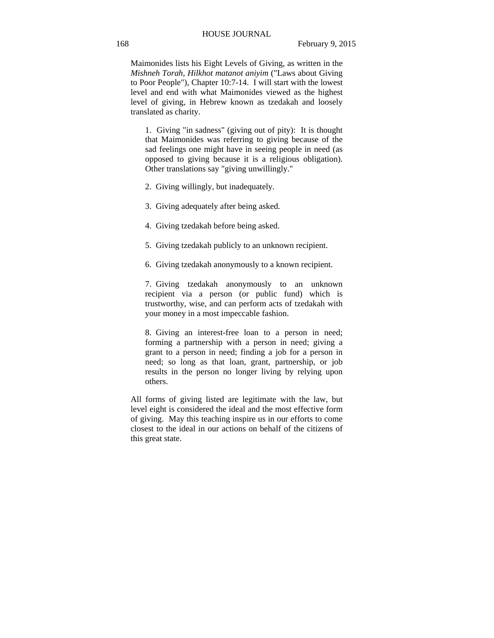Maimonides lists his Eight Levels of Giving, as written in the *Mishneh Torah, Hilkhot matanot aniyim* ("Laws about Giving to Poor People"), Chapter 10:7-14. I will start with the lowest level and end with what Maimonides viewed as the highest level of giving, in Hebrew known as tzedakah and loosely translated as charity.

1. Giving "in sadness" (giving out of pity): It is thought that Maimonides was referring to giving because of the sad feelings one might have in seeing people in need (as opposed to giving because it is a religious obligation). Other translations say "giving unwillingly."

- 2. Giving willingly, but inadequately.
- 3. Giving adequately after being asked.
- 4. Giving tzedakah before being asked.
- 5. Giving tzedakah publicly to an unknown recipient.
- 6. Giving tzedakah anonymously to a known recipient.

7. Giving tzedakah anonymously to an unknown recipient via a person (or public fund) which is trustworthy, wise, and can perform acts of tzedakah with your money in a most impeccable fashion.

8. Giving an interest-free loan to a person in need; forming a partnership with a person in need; giving a grant to a person in need; finding a job for a person in need; so long as that loan, grant, partnership, or job results in the person no longer living by relying upon others.

All forms of giving listed are legitimate with the law, but level eight is considered the ideal and the most effective form of giving. May this teaching inspire us in our efforts to come closest to the ideal in our actions on behalf of the citizens of this great state.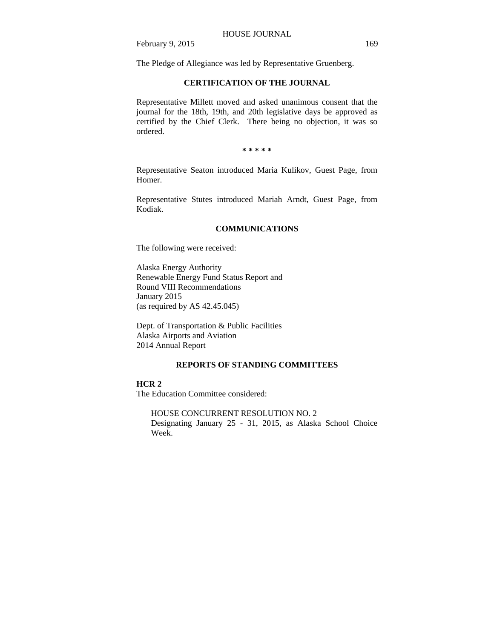The Pledge of Allegiance was led by Representative Gruenberg.

# **CERTIFICATION OF THE JOURNAL**

Representative Millett moved and asked unanimous consent that the journal for the 18th, 19th, and 20th legislative days be approved as certified by the Chief Clerk. There being no objection, it was so ordered.

**\* \* \* \* \*** 

Representative Seaton introduced Maria Kulikov, Guest Page, from Homer.

Representative Stutes introduced Mariah Arndt, Guest Page, from Kodiak.

#### **COMMUNICATIONS**

The following were received:

Alaska Energy Authority Renewable Energy Fund Status Report and Round VIII Recommendations January 2015 (as required by AS 42.45.045)

Dept. of Transportation & Public Facilities Alaska Airports and Aviation 2014 Annual Report

# **REPORTS OF STANDING COMMITTEES**

#### **HCR 2**

The Education Committee considered:

HOUSE CONCURRENT RESOLUTION NO. 2 Designating January 25 - 31, 2015, as Alaska School Choice Week.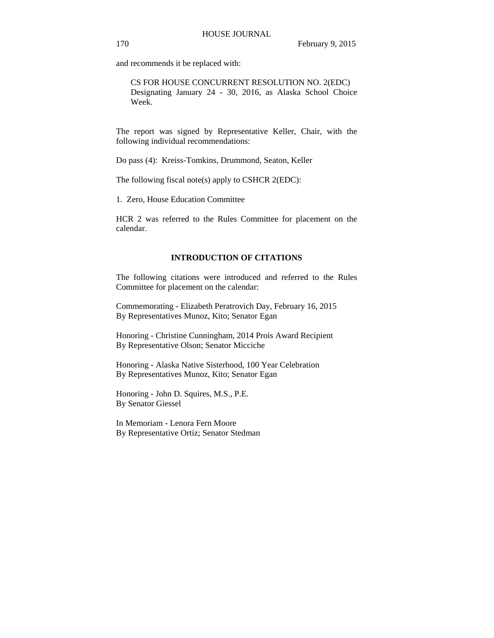and recommends it be replaced with:

CS FOR HOUSE CONCURRENT RESOLUTION NO. 2(EDC) Designating January 24 - 30, 2016, as Alaska School Choice Week.

The report was signed by Representative Keller, Chair, with the following individual recommendations:

Do pass (4): Kreiss-Tomkins, Drummond, Seaton, Keller

The following fiscal note(s) apply to CSHCR 2(EDC):

1. Zero, House Education Committee

HCR 2 was referred to the Rules Committee for placement on the calendar.

# **INTRODUCTION OF CITATIONS**

The following citations were introduced and referred to the Rules Committee for placement on the calendar:

Commemorating - Elizabeth Peratrovich Day, February 16, 2015 By Representatives Munoz, Kito; Senator Egan

Honoring - Christine Cunningham, 2014 Prois Award Recipient By Representative Olson; Senator Micciche

Honoring - Alaska Native Sisterhood, 100 Year Celebration By Representatives Munoz, Kito; Senator Egan

Honoring - John D. Squires, M.S., P.E. By Senator Giessel

In Memoriam - Lenora Fern Moore By Representative Ortiz; Senator Stedman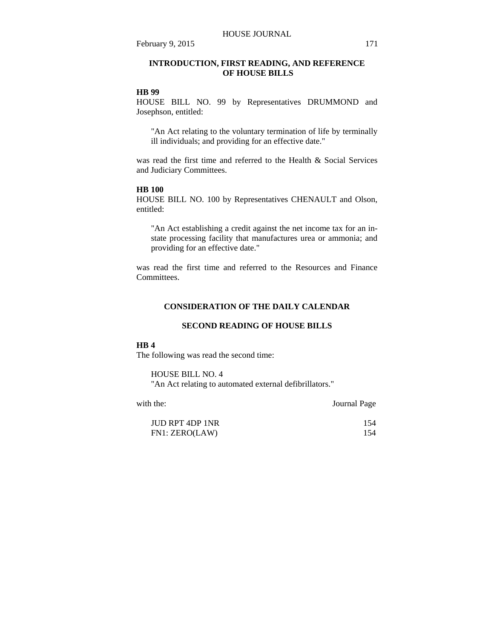# **INTRODUCTION, FIRST READING, AND REFERENCE OF HOUSE BILLS**

### **HB 99**

HOUSE BILL NO. 99 by Representatives DRUMMOND and Josephson, entitled:

"An Act relating to the voluntary termination of life by terminally ill individuals; and providing for an effective date."

was read the first time and referred to the Health & Social Services and Judiciary Committees.

#### **HB 100**

HOUSE BILL NO. 100 by Representatives CHENAULT and Olson, entitled:

"An Act establishing a credit against the net income tax for an instate processing facility that manufactures urea or ammonia; and providing for an effective date."

was read the first time and referred to the Resources and Finance **Committees** 

# **CONSIDERATION OF THE DAILY CALENDAR**

### **SECOND READING OF HOUSE BILLS**

# **HB 4**

The following was read the second time:

HOUSE BILL NO. 4 "An Act relating to automated external defibrillators."

with the: Journal Page

| <b>JUD RPT 4DP 1NR</b> | 154 |
|------------------------|-----|
| FN1: ZERO(LAW)         | 154 |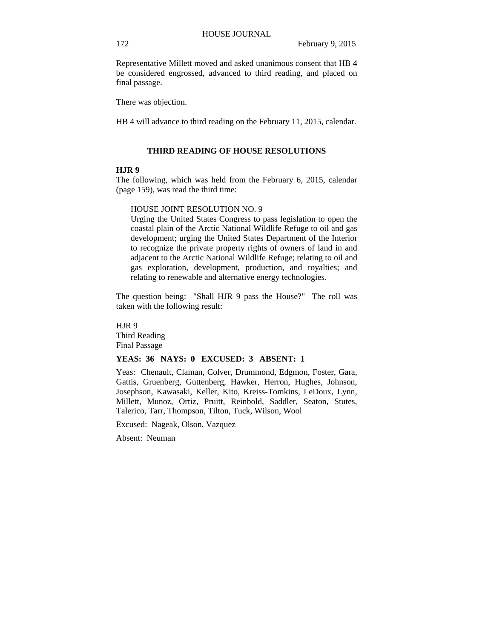Representative Millett moved and asked unanimous consent that HB 4 be considered engrossed, advanced to third reading, and placed on final passage.

There was objection.

HB 4 will advance to third reading on the February 11, 2015, calendar.

# **THIRD READING OF HOUSE RESOLUTIONS**

### **HJR 9**

The following, which was held from the February 6, 2015, calendar (page 159), was read the third time:

### HOUSE JOINT RESOLUTION NO. 9

Urging the United States Congress to pass legislation to open the coastal plain of the Arctic National Wildlife Refuge to oil and gas development; urging the United States Department of the Interior to recognize the private property rights of owners of land in and adjacent to the Arctic National Wildlife Refuge; relating to oil and gas exploration, development, production, and royalties; and relating to renewable and alternative energy technologies.

The question being: "Shall HJR 9 pass the House?" The roll was taken with the following result:

HJR 9 Third Reading Final Passage

# **YEAS: 36 NAYS: 0 EXCUSED: 3 ABSENT: 1**

Yeas: Chenault, Claman, Colver, Drummond, Edgmon, Foster, Gara, Gattis, Gruenberg, Guttenberg, Hawker, Herron, Hughes, Johnson, Josephson, Kawasaki, Keller, Kito, Kreiss-Tomkins, LeDoux, Lynn, Millett, Munoz, Ortiz, Pruitt, Reinbold, Saddler, Seaton, Stutes, Talerico, Tarr, Thompson, Tilton, Tuck, Wilson, Wool

Excused: Nageak, Olson, Vazquez

Absent: Neuman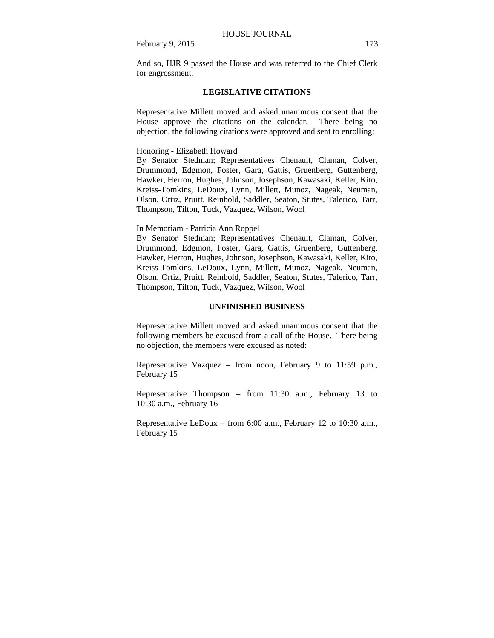# **LEGISLATIVE CITATIONS**

Representative Millett moved and asked unanimous consent that the House approve the citations on the calendar. There being no objection, the following citations were approved and sent to enrolling:

Honoring - Elizabeth Howard

By Senator Stedman; Representatives Chenault, Claman, Colver, Drummond, Edgmon, Foster, Gara, Gattis, Gruenberg, Guttenberg, Hawker, Herron, Hughes, Johnson, Josephson, Kawasaki, Keller, Kito, Kreiss-Tomkins, LeDoux, Lynn, Millett, Munoz, Nageak, Neuman, Olson, Ortiz, Pruitt, Reinbold, Saddler, Seaton, Stutes, Talerico, Tarr, Thompson, Tilton, Tuck, Vazquez, Wilson, Wool

In Memoriam - Patricia Ann Roppel

By Senator Stedman; Representatives Chenault, Claman, Colver, Drummond, Edgmon, Foster, Gara, Gattis, Gruenberg, Guttenberg, Hawker, Herron, Hughes, Johnson, Josephson, Kawasaki, Keller, Kito, Kreiss-Tomkins, LeDoux, Lynn, Millett, Munoz, Nageak, Neuman, Olson, Ortiz, Pruitt, Reinbold, Saddler, Seaton, Stutes, Talerico, Tarr, Thompson, Tilton, Tuck, Vazquez, Wilson, Wool

#### **UNFINISHED BUSINESS**

Representative Millett moved and asked unanimous consent that the following members be excused from a call of the House. There being no objection, the members were excused as noted:

Representative Vazquez – from noon, February 9 to 11:59 p.m., February 15

Representative Thompson – from 11:30 a.m., February 13 to 10:30 a.m., February 16

Representative LeDoux – from 6:00 a.m., February 12 to 10:30 a.m., February 15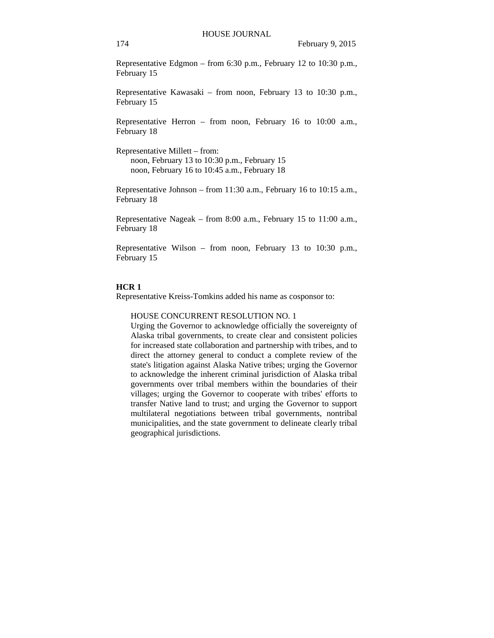Representative Edgmon – from 6:30 p.m., February 12 to 10:30 p.m., February 15

Representative Kawasaki – from noon, February 13 to 10:30 p.m., February 15

Representative Herron – from noon, February 16 to 10:00 a.m., February 18

Representative Millett – from: noon, February 13 to 10:30 p.m., February 15 noon, February 16 to 10:45 a.m., February 18

Representative Johnson – from 11:30 a.m., February 16 to 10:15 a.m., February 18

Representative Nageak – from 8:00 a.m., February 15 to 11:00 a.m., February 18

Representative Wilson – from noon, February 13 to 10:30 p.m., February 15

### **HCR 1**

Representative Kreiss-Tomkins added his name as cosponsor to:

HOUSE CONCURRENT RESOLUTION NO. 1

Urging the Governor to acknowledge officially the sovereignty of Alaska tribal governments, to create clear and consistent policies for increased state collaboration and partnership with tribes, and to direct the attorney general to conduct a complete review of the state's litigation against Alaska Native tribes; urging the Governor to acknowledge the inherent criminal jurisdiction of Alaska tribal governments over tribal members within the boundaries of their villages; urging the Governor to cooperate with tribes' efforts to transfer Native land to trust; and urging the Governor to support multilateral negotiations between tribal governments, nontribal municipalities, and the state government to delineate clearly tribal geographical jurisdictions.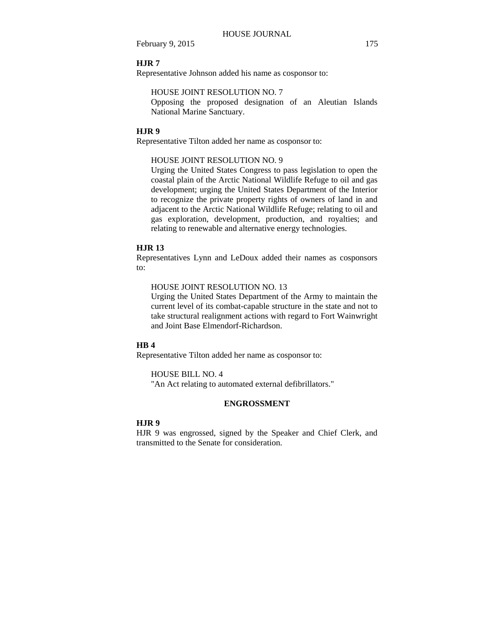#### **HJR 7**

Representative Johnson added his name as cosponsor to:

# HOUSE JOINT RESOLUTION NO. 7

Opposing the proposed designation of an Aleutian Islands National Marine Sanctuary.

### **HJR 9**

Representative Tilton added her name as cosponsor to:

# HOUSE JOINT RESOLUTION NO. 9

Urging the United States Congress to pass legislation to open the coastal plain of the Arctic National Wildlife Refuge to oil and gas development; urging the United States Department of the Interior to recognize the private property rights of owners of land in and adjacent to the Arctic National Wildlife Refuge; relating to oil and gas exploration, development, production, and royalties; and relating to renewable and alternative energy technologies.

# **HJR 13**

Representatives Lynn and LeDoux added their names as cosponsors to:

#### HOUSE JOINT RESOLUTION NO. 13

Urging the United States Department of the Army to maintain the current level of its combat-capable structure in the state and not to take structural realignment actions with regard to Fort Wainwright and Joint Base Elmendorf-Richardson.

# **HB 4**

Representative Tilton added her name as cosponsor to:

#### HOUSE BILL NO. 4

"An Act relating to automated external defibrillators."

# **ENGROSSMENT**

### **HJR 9**

HJR 9 was engrossed, signed by the Speaker and Chief Clerk, and transmitted to the Senate for consideration.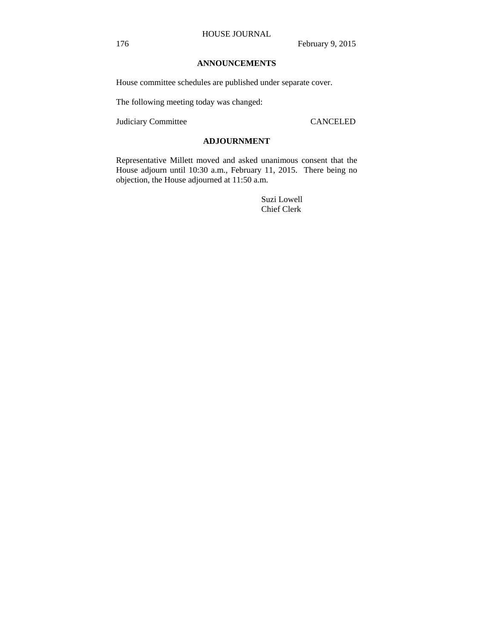# **ANNOUNCEMENTS**

House committee schedules are published under separate cover.

The following meeting today was changed:

Judiciary Committee CANCELED

# **ADJOURNMENT**

Representative Millett moved and asked unanimous consent that the House adjourn until 10:30 a.m., February 11, 2015. There being no objection, the House adjourned at 11:50 a.m.

> Suzi Lowell Chief Clerk